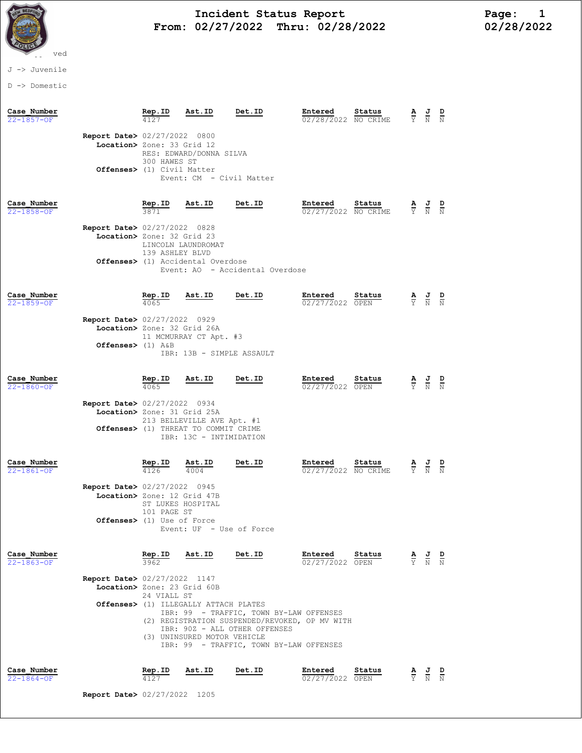

## Incident Status Report<br>02/27/2022 Thru: 02/28/2022 102/28/2022 From: 02/27/2022 Thru: 02/28/2022

## J -> Juvenile

D -> Domestic

| Case Number<br>22-1857-OF       |                                                                                                    | <u>Rep.ID</u>                                      | Ast.ID                                                                                                  | Det.ID                                                                                                                                                                                 | Entered<br>02/28/2022 NO CRIME    | Status        | $\frac{\mathbf{A}}{\mathbf{Y}}$ $\frac{\mathbf{J}}{\mathbf{N}}$                                 |                                                                                                 | $\frac{D}{N}$ |
|---------------------------------|----------------------------------------------------------------------------------------------------|----------------------------------------------------|---------------------------------------------------------------------------------------------------------|----------------------------------------------------------------------------------------------------------------------------------------------------------------------------------------|-----------------------------------|---------------|-------------------------------------------------------------------------------------------------|-------------------------------------------------------------------------------------------------|---------------|
|                                 | <b>Report Date&gt; 02/27/2022 0800</b><br>Location> Zone: 33 Grid 12<br>Offenses> (1) Civil Matter | 300 HAWES ST                                       | RES: EDWARD/DONNA SILVA<br>Event: CM - Civil Matter                                                     |                                                                                                                                                                                        |                                   |               |                                                                                                 |                                                                                                 |               |
| Case Number<br>22-1858-OF       | Report Date> 02/27/2022 0828<br>Location> Zone: 32 Grid 23                                         | Rep.ID<br>LINCOLN LAUNDROMAT<br>139 ASHLEY BLVD    | Ast.ID<br><b>Offenses&gt;</b> (1) Accidental Overdose                                                   | Det.ID<br>Event: AO - Accidental Overdose                                                                                                                                              | Entered<br>02/27/2022 NO CRIME    | Status        |                                                                                                 | $\frac{\mathbf{A}}{\mathbf{Y}}$ $\frac{\mathbf{J}}{\mathbf{N}}$ $\frac{\mathbf{D}}{\mathbf{N}}$ |               |
| Case Number<br>22-1859-OF       | Report Date> 02/27/2022 0929<br>Location> Zone: 32 Grid 26A<br>Offenses> $(1)$ A&B                 | $\frac{\text{Rep. ID}}{4065}$                      | Ast.ID<br>11 MCMURRAY CT Apt. #3<br>IBR: 13B - SIMPLE ASSAULT                                           | Det.ID                                                                                                                                                                                 | Entered<br>02/27/2022 OPEN        | <u>Status</u> |                                                                                                 | $\frac{\mathbf{A}}{\mathbf{Y}}$ $\frac{\mathbf{J}}{\mathbf{N}}$ $\frac{\mathbf{D}}{\mathbf{N}}$ |               |
| Case Number<br>$22 - 1860 - OF$ | Report Date> 02/27/2022 0934<br>Location> Zone: 31 Grid 25A                                        | Rep.ID<br>4065                                     | Ast.ID<br>213 BELLEVILLE AVE Apt. #1<br>Offenses> (1) THREAT TO COMMIT CRIME<br>IBR: 13C - INTIMIDATION | Det.ID                                                                                                                                                                                 | Entered<br>02/27/2022 OPEN        | Status        | $rac{\mathbf{A}}{\overline{Y}}$                                                                 | $\frac{J}{N}$                                                                                   |               |
| Case Number<br>22-1861-OF       | Report Date> 02/27/2022 0945<br>Location> Zone: 12 Grid 47B<br>Offenses> (1) Use of Force          | Rep.ID<br>4126<br>ST LUKES HOSPITAL<br>101 PAGE ST | Ast.ID<br>4004<br>Event: UF - Use of Force                                                              | Det.ID                                                                                                                                                                                 | Entered<br>02/27/2022 NO CRIME    | Status        | Ÿ.                                                                                              | $\frac{1}{N}$                                                                                   | $\frac{D}{N}$ |
| Case Number<br>$22 - 1863 - 0F$ | <b>Report Date&gt; 02/27/2022 1147</b><br>Location> Zone: 23 Grid 60B                              | Rep.ID<br>3962<br>24 VIALL ST                      | Ast.ID<br>Offenses> (1) ILLEGALLY ATTACH PLATES<br>(3) UNINSURED MOTOR VEHICLE                          | <b>Det.ID</b><br>IBR: 99 - TRAFFIC, TOWN BY-LAW OFFENSES<br>(2) REGISTRATION SUSPENDED/REVOKED, OP MV WITH<br>IBR: 90Z - ALL OTHER OFFENSES<br>IBR: 99 - TRAFFIC, TOWN BY-LAW OFFENSES | Entered Status<br>02/27/2022 OPEN |               | $\frac{\mathbf{A}}{\mathbf{Y}}$ $\frac{\mathbf{J}}{\mathbf{N}}$ $\frac{\mathbf{D}}{\mathbf{N}}$ |                                                                                                 |               |
| Case Number<br>22-1864-OF       |                                                                                                    | Rep.ID<br>4127                                     | Ast.ID                                                                                                  | Det.ID                                                                                                                                                                                 | Entered<br>02/27/2022 OPEN        | Status        |                                                                                                 | $\frac{\mathbf{A}}{\mathbf{Y}}$ $\frac{\mathbf{J}}{\mathbf{N}}$ $\frac{\mathbf{D}}{\mathbf{N}}$ |               |

Report Date> 02/27/2022 1205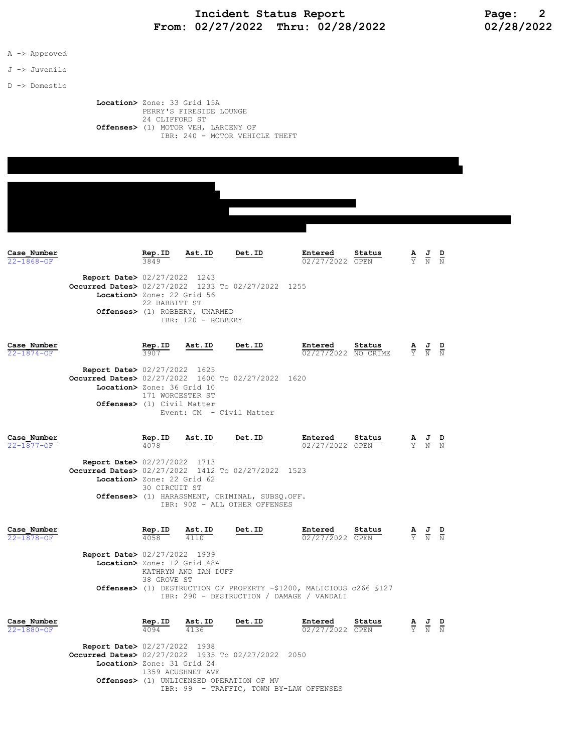## Incident Status Report<br>02/27/2022 Thru: 02/28/2022 102/28/2022 From:  $02/27/2022$  Thru:  $02/28/2022$

A -> Approved

J -> Juvenile

D -> Domestic

 Location> Zone: 33 Grid 15A PERRY'S FIRESIDE LOUNGE 24 CLIFFORD ST Offenses> (1) MOTOR VEH, LARCENY OF IBR: 240 - MOTOR VEHICLE THEFT

| Case Number<br>$22 - 1868 - OF$ |                                                                                                                            | Rep.ID<br>3849   | Ast.ID                                               | Det.ID                                                                          | Entered<br>02/27/2022 OPEN                                                                                       | Status | $\frac{\mathbf{A}}{\mathbf{Y}}$ $\frac{\mathbf{J}}{\mathbf{N}}$ $\frac{\mathbf{D}}{\mathbf{N}}$ |               |
|---------------------------------|----------------------------------------------------------------------------------------------------------------------------|------------------|------------------------------------------------------|---------------------------------------------------------------------------------|------------------------------------------------------------------------------------------------------------------|--------|-------------------------------------------------------------------------------------------------|---------------|
|                                 | <b>Report Date&gt; 02/27/2022</b> 1243<br>Occurred Dates> 02/27/2022 1233 To 02/27/2022 1255<br>Location> Zone: 22 Grid 56 |                  |                                                      |                                                                                 |                                                                                                                  |        |                                                                                                 |               |
|                                 |                                                                                                                            | 22 BABBITT ST    | Offenses> (1) ROBBERY, UNARMED<br>IBR: 120 - ROBBERY |                                                                                 |                                                                                                                  |        |                                                                                                 |               |
|                                 |                                                                                                                            |                  |                                                      | Det.ID                                                                          |                                                                                                                  |        |                                                                                                 |               |
| Case Number<br>22-1874-OF       |                                                                                                                            | Rep.ID<br>3907   | Ast.ID                                               |                                                                                 | Entered<br>02/27/2022 NO CRIME                                                                                   | Status | $\frac{\mathbf{A}}{\mathbf{Y}}$ $\frac{\mathbf{J}}{\mathbf{N}}$ $\frac{\mathbf{D}}{\mathbf{N}}$ |               |
|                                 | <b>Report Date&gt; 02/27/2022 1625</b><br>Occurred Dates> 02/27/2022 1600 To 02/27/2022 1620<br>Location> Zone: 36 Grid 10 |                  |                                                      |                                                                                 |                                                                                                                  |        |                                                                                                 |               |
|                                 | <b>Offenses&gt;</b> (1) Civil Matter                                                                                       | 171 WORCESTER ST |                                                      |                                                                                 |                                                                                                                  |        |                                                                                                 |               |
|                                 |                                                                                                                            |                  |                                                      | Event: CM - Civil Matter                                                        |                                                                                                                  |        |                                                                                                 |               |
| Case Number<br>22-1877-OF       |                                                                                                                            | Rep.ID<br>4078   | Ast.ID                                               | Det.ID                                                                          | Entered<br>02/27/2022 OPEN                                                                                       | Status | $\frac{\mathbf{A}}{\mathbf{Y}}$ $\frac{\mathbf{J}}{\mathbf{N}}$                                 | $\frac{D}{N}$ |
|                                 | <b>Report Date&gt; 02/27/2022 1713</b><br>Occurred Dates> 02/27/2022 1412 To 02/27/2022 1523                               |                  |                                                      |                                                                                 |                                                                                                                  |        |                                                                                                 |               |
|                                 | Location> Zone: 22 Grid 62                                                                                                 | 30 CIRCUIT ST    |                                                      |                                                                                 |                                                                                                                  |        |                                                                                                 |               |
|                                 |                                                                                                                            |                  |                                                      | Offenses> (1) HARASSMENT, CRIMINAL, SUBSQ.OFF.<br>IBR: 90Z - ALL OTHER OFFENSES |                                                                                                                  |        |                                                                                                 |               |
| Case Number<br>22-1878-OF       |                                                                                                                            | Rep.ID<br>4058   | Ast.ID<br>4110                                       | Det.ID                                                                          | Entered<br>02/27/2022 OPEN                                                                                       | Status | $\frac{\mathbf{A}}{\mathbf{Y}}$ $\frac{\mathbf{J}}{\mathbf{N}}$                                 | $\frac{D}{N}$ |
|                                 | <b>Report Date&gt;</b> 02/27/2022 1939                                                                                     |                  |                                                      |                                                                                 |                                                                                                                  |        |                                                                                                 |               |
|                                 | Location> Zone: 12 Grid 48A                                                                                                | 38 GROVE ST      | KATHRYN AND IAN DUFF                                 |                                                                                 |                                                                                                                  |        |                                                                                                 |               |
|                                 |                                                                                                                            |                  |                                                      |                                                                                 | Offenses> (1) DESTRUCTION OF PROPERTY -\$1200, MALICIOUS c266 \$127<br>IBR: 290 - DESTRUCTION / DAMAGE / VANDALI |        |                                                                                                 |               |
|                                 |                                                                                                                            |                  |                                                      |                                                                                 |                                                                                                                  |        |                                                                                                 |               |
| Case Number<br>22-1880-OF       |                                                                                                                            | Rep.ID<br>4094   | Ast.ID<br>4136                                       | Det.ID                                                                          | Entered<br>02/27/2022 OPEN                                                                                       | Status | $\frac{\mathbf{A}}{\mathbf{Y}}$ $\frac{\mathbf{J}}{\mathbf{N}}$ $\frac{\mathbf{D}}{\mathbf{N}}$ |               |
|                                 | <b>Report Date&gt; 02/27/2022 1938</b>                                                                                     |                  |                                                      |                                                                                 |                                                                                                                  |        |                                                                                                 |               |
|                                 | Occurred Dates> 02/27/2022 1935 To 02/27/2022 2050<br>Location> Zone: 31 Grid 24                                           |                  | 1359 ACUSHNET AVE                                    |                                                                                 |                                                                                                                  |        |                                                                                                 |               |

IBR: 99 - TRAFFIC, TOWN BY-LAW OFFENSES